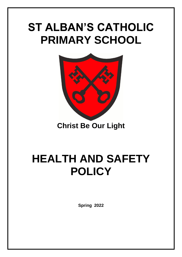## **ST ALBAN'S CATHOLIC PRIMARY SCHOOL**



**Christ Be Our Light**

# **HEALTH AND SAFETY POLICY**

**Spring 2022**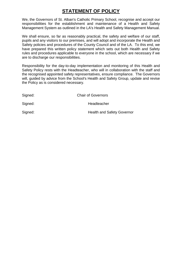## **STATEMENT OF POLICY**

We, the Governors of St. Alban's Catholic Primary School, recognise and accept our responsibilities for the establishment and maintenance of a Health and Safety Management System as outlined in the LA's Health and Safety Management Manual.

We shall ensure, so far as reasonably practical, the safety and welfare of our staff, pupils and any visitors to our premises, and will adopt and incorporate the Health and Safety policies and procedures of the County Council and of the LA. To this end, we have prepared this written policy statement which sets out both Health and Safety rules and procedures applicable to everyone in the school, which are necessary if we are to discharge our responsibilities.

Responsibility for the day-to-day implementation and monitoring of this Health and Safety Policy rests with the Headteacher, who will in collaboration with the staff and the recognised appointed safety representatives, ensure compliance. The Governors will, quided by advice from the School's Health and Safety Group, update and revise the Policy as is considered necessary.

| Signed: | <b>Chair of Governors</b>         |
|---------|-----------------------------------|
| Signed: | Headteacher                       |
| Signed: | <b>Health and Safety Governor</b> |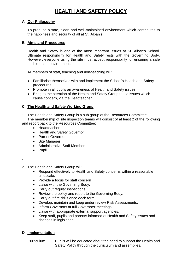### **HEALTH AND SAFETY POLICY**

#### **A. Our Philosophy**

To produce a safe, clean and well-maintained environment which contributes to the happiness and security of all at St. Alban's.

#### **B. Aims and Procedures**

Health and Safety is one of the most important issues at St. Alban's School. Ultimate responsibility for Health and Safety rests with the Governing Body. However, everyone using the site must accept responsibility for ensuring a safe and pleasant environment.

All members of staff, teaching and non-teaching will:

- Familiarise themselves with and implement the School's Health and Safety procedures.
- Promote in all pupils an awareness of Health and Safety issues.
- Bring to the attention of the Health and Safety Group those issues which cause concern, via the Headteacher.

#### **C. The Health and Safety Working Group**

1. The Health and Safety Group is a sub group of the Resources Committee.

The membership of site inspection teams will consist of at least 2 of the following and report back to the Resources Committee:

- **•** Headteacher
- Health and Safety Governor
- Parent Governor
- Site Manager
- Administrative Staff Member
- Pupil

.

2. The Health and Safety Group will:

- Respond effectively to Health and Safety concerns within a reasonable timescale.
- Provide a focus for staff concern
- Liaise with the Governing Body.
- Carry out regular inspections.
- Review the policy and report to the Governing Body.
- Carry out fire drills once each term.
- Develop, maintain and keep under review Risk Assessments.
- Inform Governors at full Governors' meetings.
- Liaise with appropriate external support agencies.
- Keep staff, pupils and parents informed of Health and Safety issues and changes in legislation.

#### **D. Implementation**

Curriculum Pupils will be educated about the need to support the Health and Safety Policy through the curriculum and assemblies.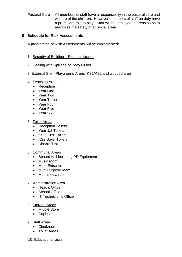Pastoral Care All members of staff have a responsibility in the pastoral care and welfare of the children. However, members of staff on duty have a prominent role to play. Staff will be deployed to areas so as to maximise the safety of all social areas.

#### **E. Schedule for Risk Assessments**

A programme of Risk Assessments will be implemented:

- 1. Security of Building External Access
- 2. Dealing with Spillage of Body Fluids
- 3. External Site Playground Areas KS1/KS2 and wooded area

#### 4. Teaching Areas

- Reception
- Year One
- Year Two
- Year Three
- Year Four
- Year Five
- Year Six

#### 5. Toilet Areas

- Reception Toilets
- Year 1/2 Toilets
- KS2 Girls' Toilets
- KS2 Boys' Toilets
- Disabled toilets

#### 6. Communal Areas

- School Hall including PE Equipment
- Music room
- Main Entrance
- Multi Purpose room
- Multi media room

#### 7. Administration Area

- Head's Office
- School Office
- IT Technician's Office

#### 8. Storage Areas

- Middle Store
- Cupboards
- 9. Staff Areas
	- Cloakroom
	- Toilet Areas
- 10. Educational visits